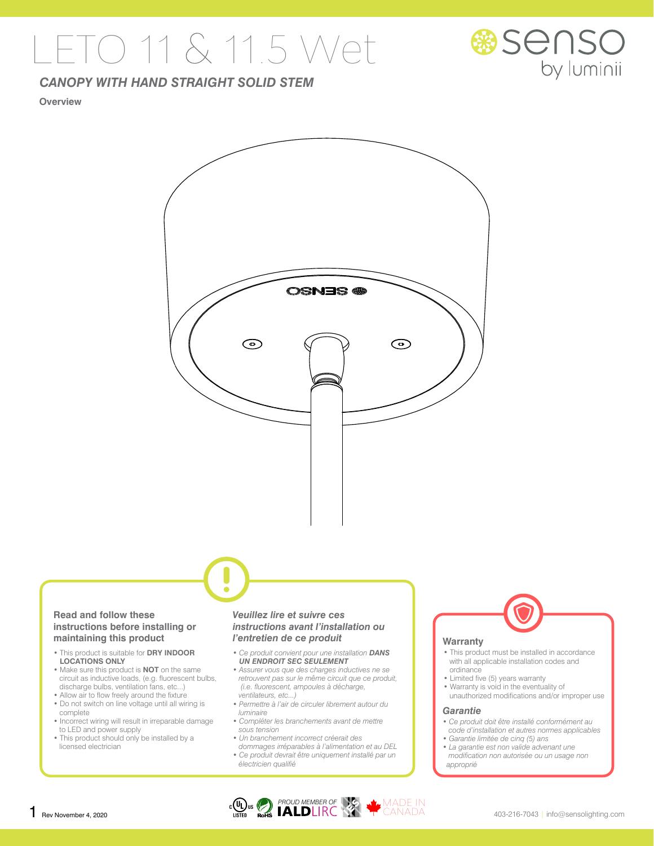## LETO 11 & 11.5 Wet



### *CANOPY WITH HAND STRAIGHT SOLID STEM*

#### **Overview**



#### **Read and follow these instructions before installing or maintaining this product**

- This product is suitable for **DRY INDOOR LOCATIONS ONLY**
- Make sure this product is **NOT** on the same circuit as inductive loads, (e.g. fluorescent bulbs, discharge bulbs, ventilation fans, etc...)
- Allow air to flow freely around the fixture • Do not switch on line voltage until all wiring is
- complete • Incorrect wiring will result in irreparable damage
- to LED and power supply
- This product should only be installed by a licensed electrician

#### *Veuillez lire et suivre ces instructions avant l'installation ou l'entretien de ce produit*

- *Ce produit convient pour une installation DANS UN ENDROIT SEC SEULEMENT*
- *Assurer vous que des charges inductives ne se retrouvent pas sur le même circuit que ce produit, (i.e. fluorescent, ampoules à décharge, ventilateurs, etc...)*
- *Permettre à l'air de circuler librement autour du luminaire*
- *Compléter les branchements avant de mettre sous tension*
- *Un branchement incorrect créerait des dommages irréparables à l'alimentation et au DEL*
- *Ce produit devrait être uniquement installé par un électricien qualifié*



#### **Warranty**

- This product must be installed in accordance with all applicable installation codes and ordinance
- Limited five (5) years warranty
- Warranty is void in the eventuality of unauthorized modifications and/or improper use

#### *Garantie*

- *Ce produit doit être installé conformément au code d'installation et autres normes applicables*
- *Garantie limitée de cinq (5) ans • La garantie est non valide advenant une modification non autorisée ou un usage non approprié*